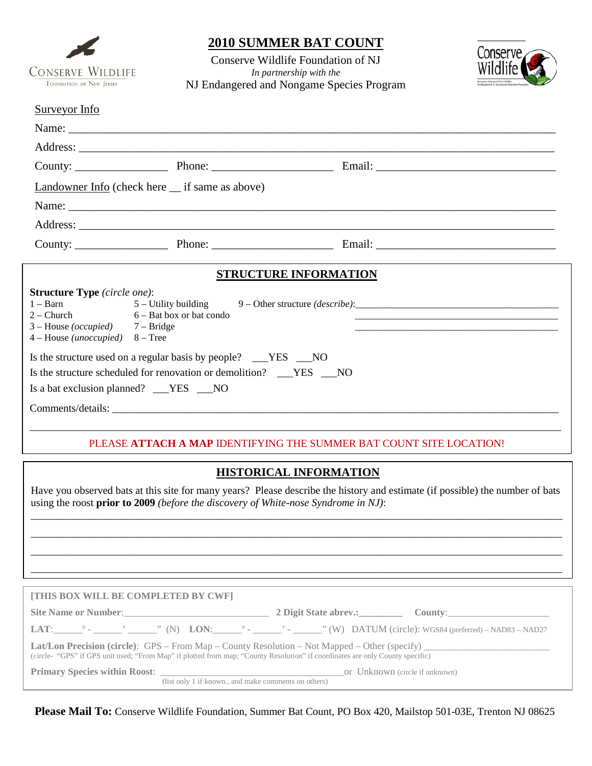

## **2010 SUMMER BAT COUNT**

Conserve Wildlife Foundation of NJ *In partnership with the* NJ Endangered and Nongame Species Program



### Surveyor Info

|                                                                                               | Landowner Info (check here __ if same as above)                       |                                                                                   |  |
|-----------------------------------------------------------------------------------------------|-----------------------------------------------------------------------|-----------------------------------------------------------------------------------|--|
|                                                                                               |                                                                       |                                                                                   |  |
|                                                                                               |                                                                       |                                                                                   |  |
|                                                                                               |                                                                       |                                                                                   |  |
|                                                                                               | <b>STRUCTURE INFORMATION</b>                                          |                                                                                   |  |
| <b>Structure Type</b> (circle one):                                                           |                                                                       |                                                                                   |  |
| $1 - \text{Barn}$<br>$3 - House (occupied)$ 7 - Bridge<br>$4 - House (unoccupied)$ $8 - Tree$ | $2 - Church$ 6 – Bat box or bat condo                                 | 5 – Utility building 9 – Other structure (describe): ____________________________ |  |
|                                                                                               | Is the structure used on a regular basis by people? ___YES ___NO      |                                                                                   |  |
|                                                                                               | Is the structure scheduled for renovation or demolition? ___YES ___NO |                                                                                   |  |
| Is a bat exclusion planned? __YES __NO                                                        |                                                                       |                                                                                   |  |
|                                                                                               |                                                                       |                                                                                   |  |
|                                                                                               |                                                                       |                                                                                   |  |

### PLEASE **ATTACH A MAP** IDENTIFYING THE SUMMER BAT COUNT SITE LOCATION!

### **HISTORICAL INFORMATION**

Have you observed bats at this site for many years? Please describe the history and estimate (if possible) the number of bats using the roost **prior to 2009** *(before the discovery of White-nose Syndrome in NJ)*: \_\_\_\_\_\_\_\_\_\_\_\_\_\_\_\_\_\_\_\_\_\_\_\_\_\_\_\_\_\_\_\_\_\_\_\_\_\_\_\_\_\_\_\_\_\_\_\_\_\_\_\_\_\_\_\_\_\_\_\_\_\_\_\_\_\_\_\_\_\_\_\_\_\_\_\_\_\_\_\_\_\_\_\_\_\_\_\_\_\_\_\_\_\_\_\_\_\_\_\_

\_\_\_\_\_\_\_\_\_\_\_\_\_\_\_\_\_\_\_\_\_\_\_\_\_\_\_\_\_\_\_\_\_\_\_\_\_\_\_\_\_\_\_\_\_\_\_\_\_\_\_\_\_\_\_\_\_\_\_\_\_\_\_\_\_\_\_\_\_\_\_\_\_\_\_\_\_\_\_\_\_\_\_\_\_\_\_\_\_\_\_\_\_\_\_\_\_\_\_\_ \_\_\_\_\_\_\_\_\_\_\_\_\_\_\_\_\_\_\_\_\_\_\_\_\_\_\_\_\_\_\_\_\_\_\_\_\_\_\_\_\_\_\_\_\_\_\_\_\_\_\_\_\_\_\_\_\_\_\_\_\_\_\_\_\_\_\_\_\_\_\_\_\_\_\_\_\_\_\_\_\_\_\_\_\_\_\_\_\_\_\_\_\_\_\_\_\_\_\_\_ \_\_\_\_\_\_\_\_\_\_\_\_\_\_\_\_\_\_\_\_\_\_\_\_\_\_\_\_\_\_\_\_\_\_\_\_\_\_\_\_\_\_\_\_\_\_\_\_\_\_\_\_\_\_\_\_\_\_\_\_\_\_\_\_\_\_\_\_\_\_\_\_\_\_\_\_\_\_\_\_\_\_\_\_\_\_\_\_\_\_\_\_\_\_\_\_\_\_\_\_

| [THIS BOX WILL BE COMPLETED BY CWF]                                                                                                                                                                                                   |                                       |  |  |  |  |  |  |  |  |
|---------------------------------------------------------------------------------------------------------------------------------------------------------------------------------------------------------------------------------------|---------------------------------------|--|--|--|--|--|--|--|--|
| Site Name or Number:<br><u>Letter and the substitute of the substitute of the substitute of the substitute</u> of the substitute of the substitute of the substitute of the substitute of the substitute of the substitute of the sub | 2 Digit State abrev.: County: County: |  |  |  |  |  |  |  |  |
|                                                                                                                                                                                                                                       |                                       |  |  |  |  |  |  |  |  |
| (circle- "GPS" if GPS unit used; "From Map" if plotted from map; "County Resolution" if coordinates are only County specific)                                                                                                         |                                       |  |  |  |  |  |  |  |  |
|                                                                                                                                                                                                                                       |                                       |  |  |  |  |  |  |  |  |
| (list only 1 if known., and make comments on others)                                                                                                                                                                                  |                                       |  |  |  |  |  |  |  |  |

**Please Mail To:** Conserve Wildlife Foundation, Summer Bat Count, PO Box 420, Mailstop 501-03E, Trenton NJ 08625